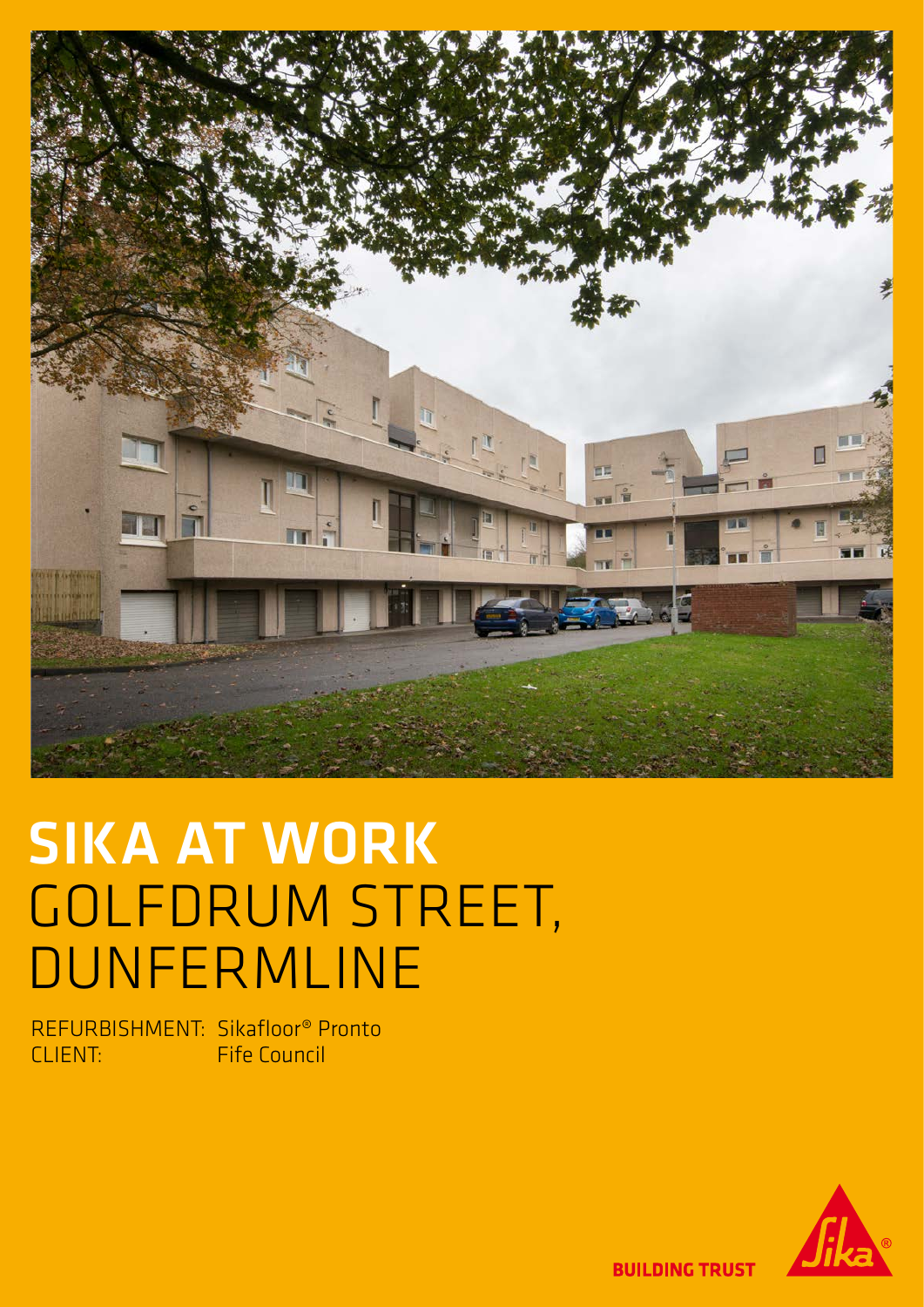

## SIKA AT WORK GOLFDRUM STREET, DUNFERMLINE

REFURBISHMENT: Sikafloor® Pronto CLIENT: Fife Council



**BUILDING TRUST**